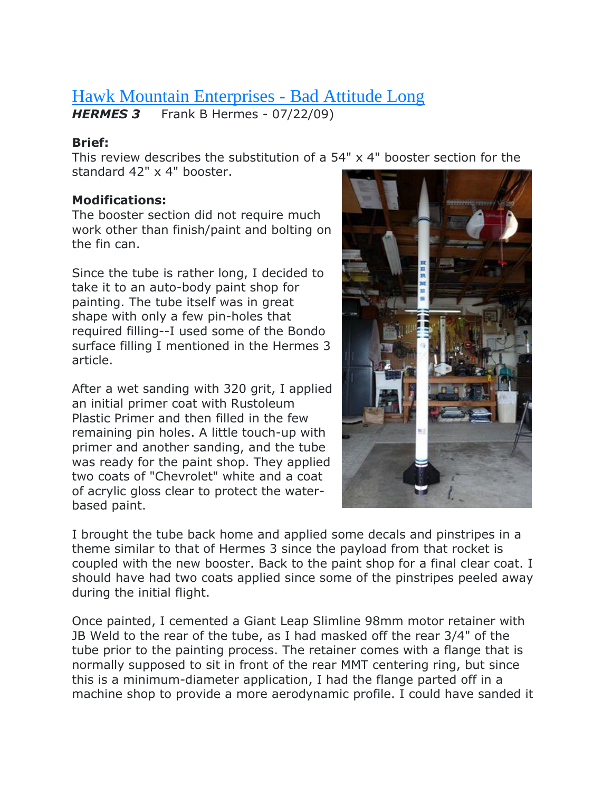# [Hawk Mountain Enterprises -](https://www.rocketreviews.com/unknown-kit-3283.html) Bad Attitude Long

*HERMES 3* Frank B Hermes - 07/22/09)

### **Brief:**

This review describes the substitution of a 54" x 4" booster section for the standard 42" x 4" booster.

## **Modifications:**

The booster section did not require much work other than finish/paint and bolting on the fin can.

Since the tube is rather long, I decided to take it to an auto-body paint shop for painting. The tube itself was in great shape with only a few pin-holes that required filling--I used some of the Bondo surface filling I mentioned in the Hermes 3 article.

After a wet sanding with 320 grit, I applied an initial primer coat with Rustoleum Plastic Primer and then filled in the few remaining pin holes. A little touch-up with primer and another sanding, and the tube was ready for the paint shop. They applied two coats of "Chevrolet" white and a coat of acrylic gloss clear to protect the waterbased paint.



I brought the tube back home and applied some decals and pinstripes in a theme similar to that of Hermes 3 since the payload from that rocket is coupled with the new booster. Back to the paint shop for a final clear coat. I should have had two coats applied since some of the pinstripes peeled away during the initial flight.

Once painted, I cemented a Giant Leap Slimline 98mm motor retainer with JB Weld to the rear of the tube, as I had masked off the rear 3/4" of the tube prior to the painting process. The retainer comes with a flange that is normally supposed to sit in front of the rear MMT centering ring, but since this is a minimum-diameter application, I had the flange parted off in a machine shop to provide a more aerodynamic profile. I could have sanded it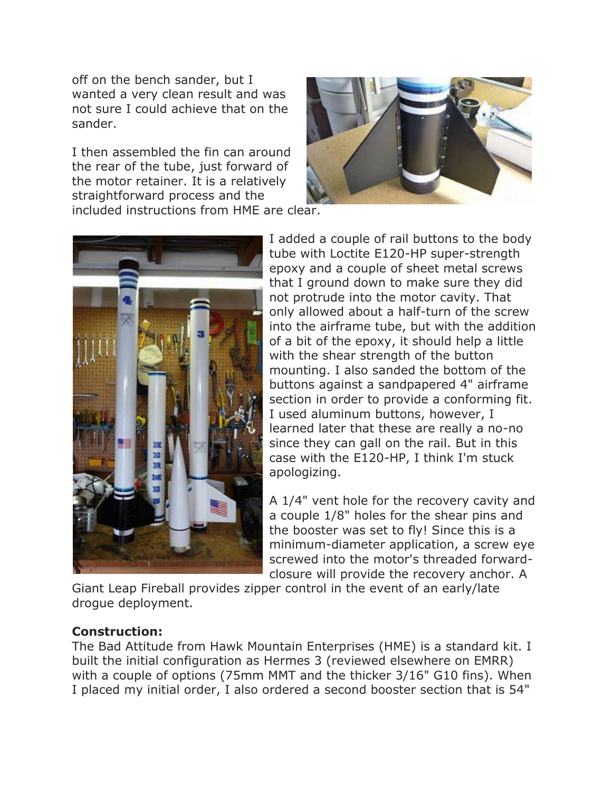off on the bench sander, but I wanted a very clean result and was not sure I could achieve that on the sander.

I then assembled the fin can around the rear of the tube, just forward of the motor retainer. It is a relatively straightforward process and the included instructions from HME are clear.





I added a couple of rail buttons to the body tube with Loctite E120-HP super-strength epoxy and a couple of sheet metal screws that I ground down to make sure they did not protrude into the motor cavity. That only allowed about a half-turn of the screw into the airframe tube, but with the addition of a bit of the epoxy, it should help a little with the shear strength of the button mounting. I also sanded the bottom of the buttons against a sandpapered 4" airframe section in order to provide a conforming fit. I used aluminum buttons, however, I learned later that these are really a no-no since they can gall on the rail. But in this case with the E120-HP, I think I'm stuck apologizing.

A 1/4" vent hole for the recovery cavity and a couple 1/8" holes for the shear pins and the booster was set to fly! Since this is a minimum-diameter application, a screw eye screwed into the motor's threaded forwardclosure will provide the recovery anchor. A

Giant Leap Fireball provides zipper control in the event of an early/late drogue deployment.

#### **Construction:**

The Bad Attitude from Hawk Mountain Enterprises (HME) is a standard kit. I built the initial configuration as Hermes 3 (reviewed elsewhere on EMRR) with a couple of options (75mm MMT and the thicker 3/16" G10 fins). When I placed my initial order, I also ordered a second booster section that is 54"